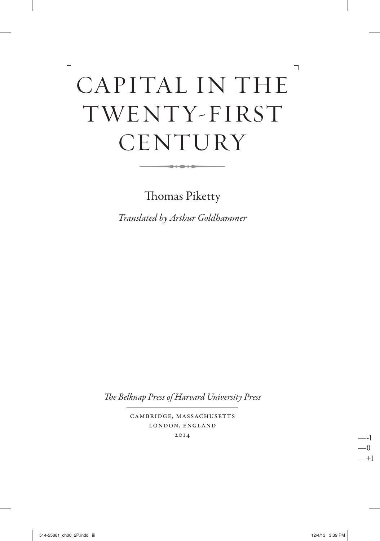# CAPITAL IN THE TWENTY-FIRST CENTURY -

 $\overline{\phantom{a}}$ 

Thomas Piketty

*Translated by Arthur Goldhammer*

The Belknap Press of Harvard University Press

Cambridge, Massachusetts London, England 2014

514-55881\_ch00\_2P.indd iii 12/4/13 3:39 PM

 $\overline{\Gamma}$ 

—-1 —0 —+1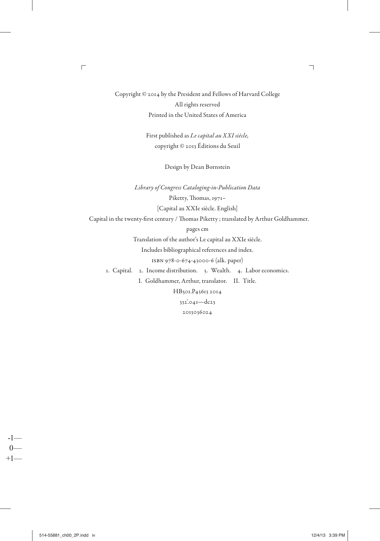Copyright © 2014 by the President and Fellows of Harvard College All rights reserved Printed in the United States of America

> First published as *Le capital au XXI siècle,*  copyright © 2013 Éditions du Seuil

> > Design by Dean Bornstein

*Library of Congress Cataloging- in- Publication Data* Piketty, Thomas, 1971-[Capital au XXIe siècle. English] Capital in the twenty-first century / Thomas Piketty ; translated by Arthur Goldhammer. pages cm Translation of the author's Le capital au XXIe siècle. Includes bibliographical references and index. ISBN 978-0-674-43000-6 (alk. paper) 1. Capital. 2. Income distribution. 3. Wealth. 4. Labor economics. I. Goldhammer, Arthur, translator. II. Title. HB501.P43613 2014 332'.041—dc23

2013036024

-1—  $0 +1-$   $\overline{\phantom{a}}$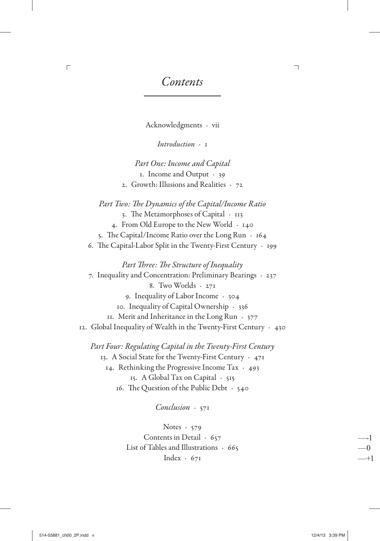Contents

 $\overline{\mathbb{I}}$ 

Acknowledgments · vii

 $Introduction \tcdot I$ 

Part One: Income and Capital 1. Income and Output · 39 2. Growth: Illusions and Realities · 72

Part Two: The Dynamics of the Capital/Income Ratio 3. The Metamorphoses of Capital · 113 4. From Old Europe to the New World · 140 5. The Capital/Income Ratio over the Long Run  $\cdot$  164 6. The Capital-Labor Split in the Twenty-First Century · 199

Part Three: The Structure of Inequality 7. Inequality and Concentration: Preliminary Bearings · 237 8. Two Worlds · 271 9. Inequality of Labor Income · 304 10. Inequality of Capital Ownership · 336 II. Merit and Inheritance in the Long Run · 377 12. Global Inequality of Wealth in the Twenty-First Century · 430

Part Four: Regulating Capital in the Twenty-First Century 13. A Social State for the Twenty-First Century · 471 14. Rethinking the Progressive Income Tax  $\cdot$  493 15. A Global Tax on Capital · 515 16. The Question of the Public Debt  $\cdot$  540

 $Conclusion \cdot 57I$ 

Notes  $\cdot$  579 Contents in Detail · 657 List of Tables and Illustrations  $.665$ Index  $\cdot$  671

 $\overline{\Gamma}$ 

--1

 $\Omega$ 

 $-+1$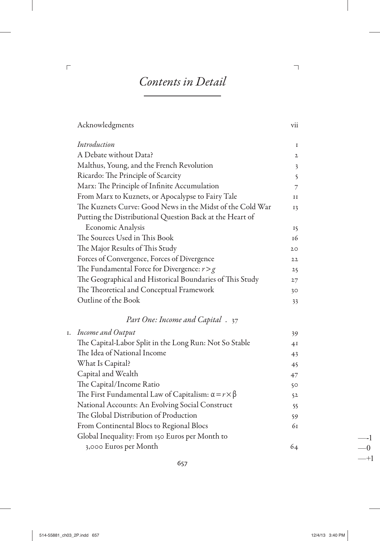## Contents in Detail

| Acknowledgments                                                    | vii                     |
|--------------------------------------------------------------------|-------------------------|
| Introduction                                                       | I                       |
| A Debate without Data?                                             | $\mathbf{2}$            |
| Malthus, Young, and the French Revolution                          | $\overline{\mathbf{3}}$ |
| Ricardo: The Principle of Scarcity                                 | 5                       |
| Marx: The Principle of Infinite Accumulation                       | 7                       |
| From Marx to Kuznets, or Apocalypse to Fairy Tale                  | $_{II}$                 |
| The Kuznets Curve: Good News in the Midst of the Cold War          | 13                      |
| Putting the Distributional Question Back at the Heart of           |                         |
| <b>Economic Analysis</b>                                           | 15                      |
| The Sources Used in This Book                                      | 16                      |
| The Major Results of This Study                                    | 20                      |
| Forces of Convergence, Forces of Divergence                        | $22^{1}$                |
| The Fundamental Force for Divergence: $r > g$                      | 25                      |
| The Geographical and Historical Boundaries of This Study           | 27                      |
| The Theoretical and Conceptual Framework                           | 30                      |
| Outline of the Book                                                | 33                      |
| Part One: Income and Capital . 37                                  |                         |
| 1. Income and Output                                               | 39                      |
| The Capital-Labor Split in the Long Run: Not So Stable             | 4I                      |
| The Idea of National Income                                        | 43                      |
| What Is Capital?                                                   | 45                      |
| Capital and Wealth                                                 | 47                      |
| The Capital/Income Ratio                                           | 50                      |
| The First Fundamental Law of Capitalism: $\alpha = r \times \beta$ | 52                      |
| National Accounts: An Evolving Social Construct                    | 55                      |
| The Global Distribution of Production                              | 59                      |
| From Continental Blocs to Regional Blocs                           | 61                      |
| Global Inequality: From 150 Euros per Month to                     |                         |
| 3,000 Euros per Month                                              | 64                      |
|                                                                    |                         |

657

 $\overline{\phantom{a}}$ 

 $\overline{\Gamma}$ 

 $-1$  $-0$  $-+1$ 

 $\overline{\phantom{a}}$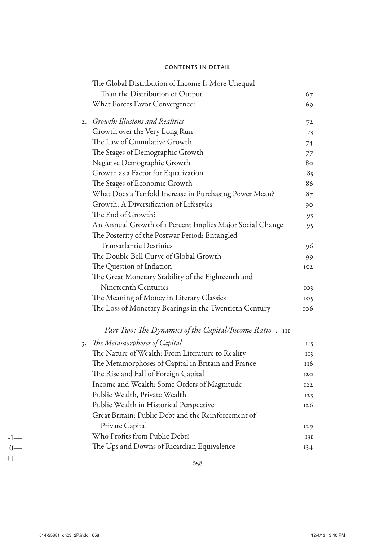|    | The Global Distribution of Income Is More Unequal         |                 |
|----|-----------------------------------------------------------|-----------------|
|    | Than the Distribution of Output                           | 67              |
|    | What Forces Favor Convergence?                            | 69              |
|    | 2. Growth: Illusions and Realities                        | 72              |
|    | Growth over the Very Long Run                             | 73              |
|    | The Law of Cumulative Growth                              | 74              |
|    | The Stages of Demographic Growth                          | 77              |
|    | Negative Demographic Growth                               | 80              |
|    | Growth as a Factor for Equalization                       | 83              |
|    | The Stages of Economic Growth                             | 86              |
|    | What Does a Tenfold Increase in Purchasing Power Mean?    | 87              |
|    | Growth: A Diversification of Lifestyles                   | 90              |
|    | The End of Growth?                                        | 93              |
|    | An Annual Growth of I Percent Implies Major Social Change | 95              |
|    | The Posterity of the Postwar Period: Entangled            |                 |
|    | <b>Transatlantic Destinies</b>                            | 96              |
|    | The Double Bell Curve of Global Growth                    | 99              |
|    | The Question of Inflation                                 | IO2             |
|    | The Great Monetary Stability of the Eighteenth and        |                 |
|    | Nineteenth Centuries                                      | 103             |
|    | The Meaning of Money in Literary Classics                 | IO <sub>5</sub> |
|    | The Loss of Monetary Bearings in the Twentieth Century    | 106             |
|    | Part Two: The Dynamics of the Capital/Income Ratio. 111   |                 |
| 3. | The Metamorphoses of Capital                              | II3             |
|    | The Nature of Wealth: From Literature to Reality          | II3             |
|    | The Metamorphoses of Capital in Britain and France        | 116             |
|    | The Rise and Fall of Foreign Capital                      | 120             |
|    | Income and Wealth: Some Orders of Magnitude               | <b>I22</b>      |
|    | Public Wealth, Private Wealth                             | 123             |
|    | Public Wealth in Historical Perspective                   | 126             |
|    | Great Britain: Public Debt and the Reinforcement of       |                 |
|    | Private Capital                                           | 129             |
|    | Who Profits from Public Debt?                             | 131             |
|    | The Ups and Downs of Ricardian Equivalence                |                 |
|    |                                                           | 134             |

 $+1$ — $\sim$  658

-1—

 $\overline{\phantom{a}}$ 

 $0 -$ <br>+1-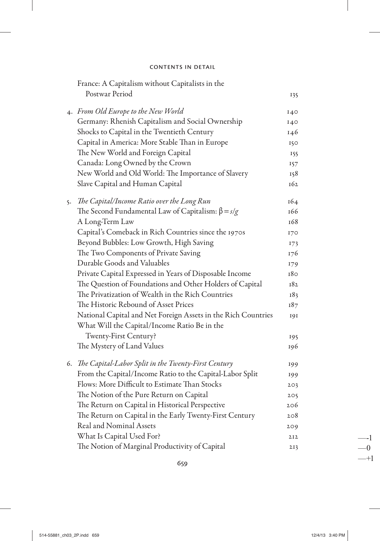|  | France: A Capitalism without Capitalists in the                                                               |     |
|--|---------------------------------------------------------------------------------------------------------------|-----|
|  | Postwar Period                                                                                                | 135 |
|  | 4. From Old Europe to the New World                                                                           | 140 |
|  | Germany: Rhenish Capitalism and Social Ownership                                                              | 140 |
|  | Shocks to Capital in the Twentieth Century                                                                    | 146 |
|  | Capital in America: More Stable Than in Europe                                                                | 150 |
|  | The New World and Foreign Capital                                                                             | 155 |
|  | Canada: Long Owned by the Crown                                                                               | 157 |
|  | New World and Old World: The Importance of Slavery                                                            | 158 |
|  | Slave Capital and Human Capital                                                                               | 162 |
|  | 5. The Capital/Income Ratio over the Long Run                                                                 | 164 |
|  | The Second Fundamental Law of Capitalism: $\beta = s/g$                                                       | 166 |
|  | A Long-Term Law                                                                                               | 168 |
|  | Capital's Comeback in Rich Countries since the 1970s                                                          | 170 |
|  | Beyond Bubbles: Low Growth, High Saving                                                                       | 173 |
|  | The Two Components of Private Saving                                                                          | 176 |
|  | Durable Goods and Valuables                                                                                   | 179 |
|  | Private Capital Expressed in Years of Disposable Income                                                       | 180 |
|  | The Question of Foundations and Other Holders of Capital                                                      | 182 |
|  | The Privatization of Wealth in the Rich Countries                                                             | 183 |
|  | The Historic Rebound of Asset Prices                                                                          | 187 |
|  | National Capital and Net Foreign Assets in the Rich Countries<br>What Will the Capital/Income Ratio Be in the | 191 |
|  | Twenty-First Century?                                                                                         | 195 |
|  | The Mystery of Land Values                                                                                    | 196 |
|  | 6. The Capital-Labor Split in the Twenty-First Century                                                        | 199 |
|  | From the Capital/Income Ratio to the Capital-Labor Split                                                      | 199 |
|  | Flows: More Difficult to Estimate Than Stocks                                                                 | 203 |
|  | The Notion of the Pure Return on Capital                                                                      | 205 |
|  | The Return on Capital in Historical Perspective                                                               | 206 |
|  | The Return on Capital in the Early Twenty-First Century                                                       | 208 |
|  | Real and Nominal Assets                                                                                       | 209 |
|  | What Is Capital Used For?                                                                                     | 2I2 |
|  | The Notion of Marginal Productivity of Capital                                                                | 213 |

659 —  $-1$ 

 $\overline{\phantom{a}}$ 

—-1

I

 $-0$ <br>--+1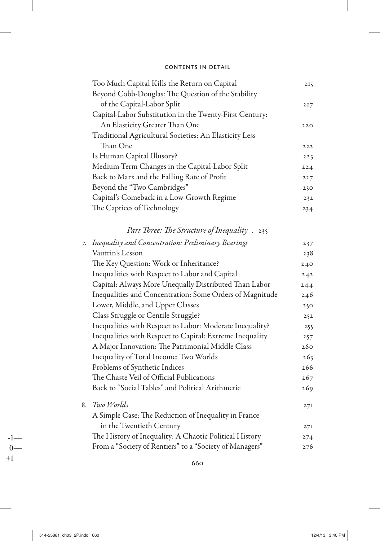| Too Much Capital Kills the Return on Capital            | 2I5 |
|---------------------------------------------------------|-----|
| Beyond Cobb-Douglas: The Question of the Stability      |     |
| of the Capital-Labor Split                              | 217 |
| Capital-Labor Substitution in the Twenty-First Century: |     |
| An Elasticity Greater Than One                          | 220 |
| Traditional Agricultural Societies: An Elasticity Less  |     |
| Than One                                                | 222 |
| Is Human Capital Illusory?                              | 223 |
| Medium-Term Changes in the Capital-Labor Split          | 224 |
| Back to Marx and the Falling Rate of Profit             | 227 |
| Beyond the "Two Cambridges"                             | 230 |
| Capital's Comeback in a Low-Growth Regime               | 232 |
| The Caprices of Technology                              | 234 |
|                                                         |     |

### Part Three: The Structure of Inequality . 235

| 7. | Inequality and Concentration: Preliminary Bearings       | 237 |
|----|----------------------------------------------------------|-----|
|    | Vautrin's Lesson                                         | 238 |
|    | The Key Question: Work or Inheritance?                   | 240 |
|    | Inequalities with Respect to Labor and Capital           | 242 |
|    | Capital: Always More Unequally Distributed Than Labor    | 244 |
|    | Inequalities and Concentration: Some Orders of Magnitude | 246 |
|    | Lower, Middle, and Upper Classes                         | 250 |
|    | Class Struggle or Centile Struggle?                      | 252 |
|    | Inequalities with Respect to Labor: Moderate Inequality? | 255 |
|    | Inequalities with Respect to Capital: Extreme Inequality | 257 |
|    | A Major Innovation: The Patrimonial Middle Class         | 260 |
|    | Inequality of Total Income: Two Worlds                   | 263 |
|    | Problems of Synthetic Indices                            | 266 |
|    | The Chaste Veil of Official Publications                 | 267 |
|    | Back to "Social Tables" and Political Arithmetic         | 269 |
|    | 8. Two Worlds                                            | 27I |
|    | A Simple Case: The Reduction of Inequality in France     |     |
|    | in the Twentieth Century                                 | 27I |
|    | The History of Inequality: A Chaotic Political History   | 274 |
|    | From a "Society of Rentiers" to a "Society of Managers"  | 276 |

660

 $-1$ —  $0 +1-$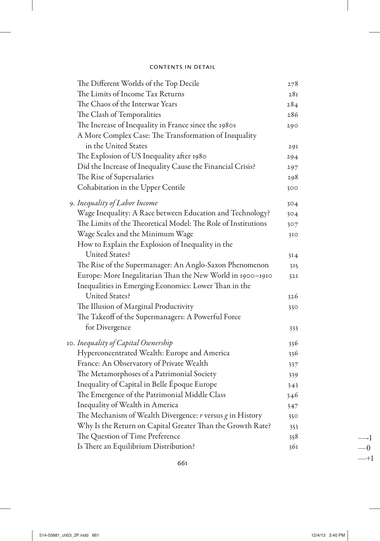| The Different Worlds of the Top Decile                        | 278 |
|---------------------------------------------------------------|-----|
| The Limits of Income Tax Returns                              | 281 |
| The Chaos of the Interwar Years                               | 284 |
| The Clash of Temporalities                                    | 286 |
| The Increase of Inequality in France since the 1980s          | 290 |
| A More Complex Case: The Transformation of Inequality         |     |
| in the United States                                          | 291 |
| The Explosion of US Inequality after 1980                     | 294 |
| Did the Increase of Inequality Cause the Financial Crisis?    | 297 |
| The Rise of Supersalaries                                     | 298 |
| Cohabitation in the Upper Centile                             | 300 |
| 9. Inequality of Labor Income                                 | 304 |
| Wage Inequality: A Race between Education and Technology?     | 304 |
| The Limits of the Theoretical Model: The Role of Institutions | 307 |
| Wage Scales and the Minimum Wage                              | 310 |
| How to Explain the Explosion of Inequality in the             |     |
| <b>United States?</b>                                         | 314 |
| The Rise of the Supermanager: An Anglo-Saxon Phenomenon       | 315 |
| Europe: More Inegalitarian Than the New World in 1900-1910    | 32I |
| Inequalities in Emerging Economies: Lower Than in the         |     |
| <b>United States?</b>                                         | 326 |
| The Illusion of Marginal Productivity                         | 330 |
| The Takeoff of the Supermanagers: A Powerful Force            |     |
| for Divergence                                                | 333 |
| 10. Inequality of Capital Ownership                           | 336 |
| Hyperconcentrated Wealth: Europe and America                  | 336 |
| France: An Observatory of Private Wealth                      | 337 |
| The Metamorphoses of a Patrimonial Society                    | 339 |
| Inequality of Capital in Belle Époque Europe                  | 343 |
| The Emergence of the Patrimonial Middle Class                 | 346 |
| Inequality of Wealth in America                               | 347 |
| The Mechanism of Wealth Divergence: $r$ versus $g$ in History | 350 |
| Why Is the Return on Capital Greater Than the Growth Rate?    | 353 |
| The Question of Time Preference                               | 358 |
| Is There an Equilibrium Distribution?                         | 361 |

 $\overline{\phantom{a}}$ 

 $-1$  $-0$ 

 $-+1$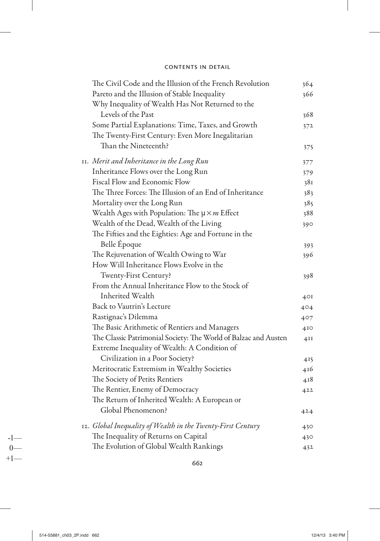| The Civil Code and the Illusion of the French Revolution        | 364             |
|-----------------------------------------------------------------|-----------------|
| Pareto and the Illusion of Stable Inequality                    | 366             |
| Why Inequality of Wealth Has Not Returned to the                |                 |
| Levels of the Past                                              | 368             |
| Some Partial Explanations: Time, Taxes, and Growth              | 372             |
| The Twenty-First Century: Even More Inegalitarian               |                 |
| Than the Nineteenth?                                            | 375             |
| 11. Merit and Inheritance in the Long Run                       | 377             |
| Inheritance Flows over the Long Run                             | 379             |
| Fiscal Flow and Economic Flow                                   | 381             |
| The Three Forces: The Illusion of an End of Inheritance         | 383             |
| Mortality over the Long Run                                     | 385             |
| Wealth Ages with Population: The $\mu \times m$ Effect          | 388             |
| Wealth of the Dead, Wealth of the Living                        | 390             |
| The Fifties and the Eighties: Age and Fortune in the            |                 |
| Belle Époque                                                    | 393             |
| The Rejuvenation of Wealth Owing to War                         | 396             |
| How Will Inheritance Flows Evolve in the                        |                 |
| Twenty-First Century?                                           | 398             |
| From the Annual Inheritance Flow to the Stock of                |                 |
| Inherited Wealth                                                | 4 <sup>OI</sup> |
| Back to Vautrin's Lecture                                       | 404             |
| Rastignac's Dilemma                                             | 407             |
| The Basic Arithmetic of Rentiers and Managers                   | 4I <sub>O</sub> |
| The Classic Patrimonial Society: The World of Balzac and Austen | 4II             |
| Extreme Inequality of Wealth: A Condition of                    |                 |
| Civilization in a Poor Society?                                 | 415             |
| Meritocratic Extremism in Wealthy Societies                     | 416             |
| The Society of Petits Rentiers                                  | 418             |
| The Rentier, Enemy of Democracy                                 | 422             |
| The Return of Inherited Wealth: A European or                   |                 |
| Global Phenomenon?                                              | 424             |
| 12. Global Inequality of Wealth in the Twenty-First Century     | 430             |
| The Inequality of Returns on Capital                            | 430             |
| The Evolution of Global Wealth Rankings                         | 432             |

662

 $-1$ —  $0-$ 

 $+1-$ 

 $\overline{\phantom{a}}$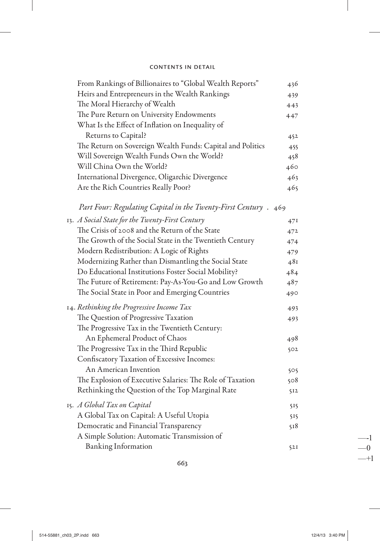| From Rankings of Billionaires to "Global Wealth Reports"        | 436 |
|-----------------------------------------------------------------|-----|
| Heirs and Entrepreneurs in the Wealth Rankings                  | 439 |
| The Moral Hierarchy of Wealth                                   | 443 |
| The Pure Return on University Endowments                        | 447 |
| What Is the Effect of Inflation on Inequality of                |     |
| Returns to Capital?                                             | 452 |
| The Return on Sovereign Wealth Funds: Capital and Politics      | 455 |
| Will Sovereign Wealth Funds Own the World?                      | 458 |
| Will China Own the World?                                       | 460 |
| International Divergence, Oligarchic Divergence                 | 463 |
| Are the Rich Countries Really Poor?                             | 465 |
| Part Four: Regulating Capital in the Twenty-First Century . 469 |     |
| 13. A Social State for the Twenty-First Century                 | 47I |
| The Crisis of 2008 and the Return of the State                  | 472 |
| The Growth of the Social State in the Twentieth Century         | 474 |
| Modern Redistribution: A Logic of Rights                        | 479 |
| Modernizing Rather than Dismantling the Social State            | 481 |
| Do Educational Institutions Foster Social Mobility?             | 484 |
| The Future of Retirement: Pay-As-You-Go and Low Growth          | 487 |
| The Social State in Poor and Emerging Countries                 | 490 |
| 14. Rethinking the Progressive Income Tax                       | 493 |
| The Question of Progressive Taxation                            | 493 |
| The Progressive Tax in the Twentieth Century:                   |     |
| An Ephemeral Product of Chaos                                   | 498 |
| The Progressive Tax in the Third Republic                       | 502 |
| Confiscatory Taxation of Excessive Incomes:                     |     |
| An American Invention                                           | 505 |
| The Explosion of Executive Salaries: The Role of Taxation       | 508 |
| Rethinking the Question of the Top Marginal Rate                | 512 |
| 15. A Global Tax on Capital                                     | 515 |
| A Global Tax on Capital: A Useful Utopia                        | 515 |
| Democratic and Financial Transparency                           | 518 |
| A Simple Solution: Automatic Transmission of                    |     |
| <b>Banking Information</b>                                      | 52I |

ı

 $\overline{\phantom{a}}$ 

 $-1$  $-0$  $-+1$ 

 $\overline{\phantom{a}}$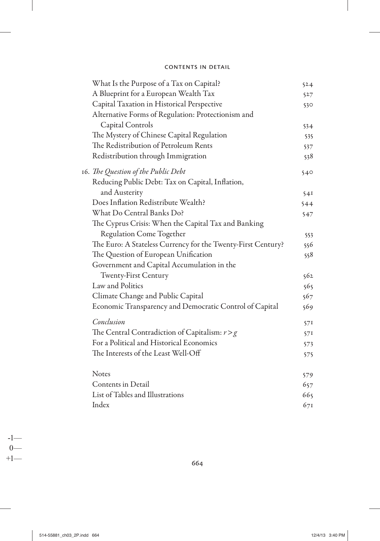|  | What Is the Purpose of a Tax on Capital?                     | 524  |
|--|--------------------------------------------------------------|------|
|  | A Blueprint for a European Wealth Tax                        | 527  |
|  | Capital Taxation in Historical Perspective                   | 530. |
|  | Alternative Forms of Regulation: Protectionism and           |      |
|  | Capital Controls                                             | 534  |
|  | The Mystery of Chinese Capital Regulation                    | 535  |
|  | The Redistribution of Petroleum Rents                        | 537  |
|  | Redistribution through Immigration                           | 538  |
|  | 16. The Question of the Public Debt                          | 540  |
|  | Reducing Public Debt: Tax on Capital, Inflation,             |      |
|  | and Austerity                                                | 541  |
|  | Does Inflation Redistribute Wealth?                          | 544  |
|  | What Do Central Banks Do?                                    | 547  |
|  | The Cyprus Crisis: When the Capital Tax and Banking          |      |
|  | Regulation Come Together                                     | 553  |
|  | The Euro: A Stateless Currency for the Twenty-First Century? | 556  |
|  | The Question of European Unification                         | 558  |
|  | Government and Capital Accumulation in the                   |      |
|  | <b>Twenty-First Century</b>                                  | 562  |
|  | Law and Politics                                             | 565  |
|  | Climate Change and Public Capital                            | 567  |
|  | Economic Transparency and Democratic Control of Capital      | 569  |
|  | Conclusion                                                   | 57I  |
|  | The Central Contradiction of Capitalism: $r > g$             | 571  |
|  | For a Political and Historical Economics                     | 573  |
|  | The Interests of the Least Well-Off                          | 575  |
|  | <b>Notes</b>                                                 | 579  |
|  | Contents in Detail                                           | 657  |
|  | List of Tables and Illustrations                             | 665  |
|  | Index                                                        | 671  |
|  |                                                              |      |

 $+1$ — 664

-1—

 $\overline{\phantom{a}}$ 

 $0$ —<br>+1—

 $\overline{\phantom{a}}$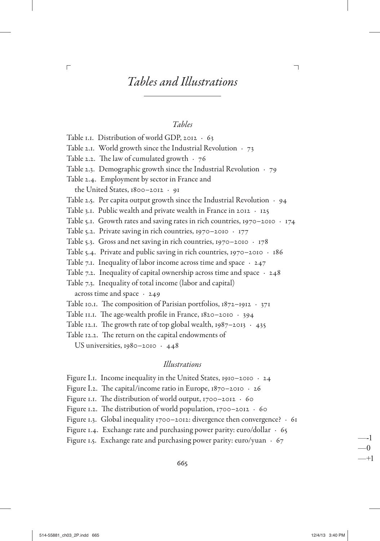#### Tables

Table I.I. Distribution of world GDP, 2012 · 63 Table 2.1. World growth since the Industrial Revolution  $\cdot$  73 Table 2.2. The law of cumulated growth  $\cdot$  76 Table 2.3. Demographic growth since the Industrial Revolution  $\cdot$  79 Table 2.4. Employment by sector in France and the United States, 1800-2012 · 91 Table 2.5. Per capita output growth since the Industrial Revolution  $\cdot$  94 Table 3.1. Public wealth and private wealth in France in 2012  $\cdot$  125 Table 5.1. Growth rates and saving rates in rich countries, 1970-2010  $\cdot$  174 Table 5.2. Private saving in rich countries, 1970–2010  $\cdot$  177 Table 5.3. Gross and net saving in rich countries, 1970-2010  $\cdot$  178 Table 5.4. Private and public saving in rich countries,  $1970 - 2010 \cdot 186$ Table 7.1. Inequality of labor income across time and space  $\cdot$  247 Table 7.2. Inequality of capital ownership across time and space  $\cdot$  248 Table 7.3. Inequality of total income (labor and capital) across time and space  $\cdot$  249 Table 10.1. The composition of Parisian portfolios,  $1872 - 1912 \cdot 371$ Table II.I. The age-wealth profile in France,  $1820-2010 + 394$ Table 12.1. The growth rate of top global wealth,  $1987-2013 + 435$ Table 12.2. The return on the capital endowments of US universities,  $1980 - 2010 + 448$ 

#### Illustrations

Figure I.1. Income inequality in the United States, 1910-2010  $\cdot$  24 Figure I.2. The capital/income ratio in Europe,  $1870 - 2010 + 26$ Figure 1.1. The distribution of world output,  $1700-2012 + 60$ Figure 1.2. The distribution of world population,  $1700-2012 + 60$ Figure 1.3. Global inequality 1700-2012: divergence then convergence? · 61 Figure 1.4. Exchange rate and purchasing power parity: euro/dollar  $\cdot$  65 Figure 1.5. Exchange rate and purchasing power parity: euro/yuan  $\cdot$  67

665

 $\overline{\Gamma}$ 

—-1

 $-0$  $-+1$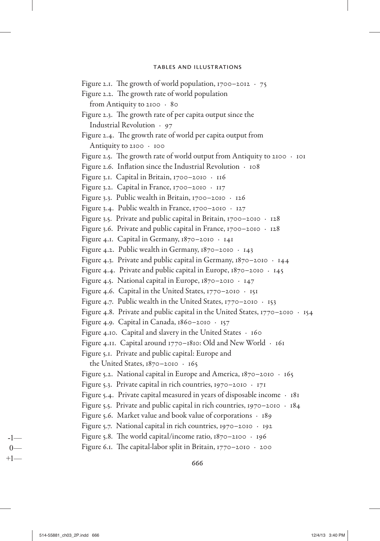Figure 2.1. The growth of world population,  $1700-2012 + 75$ Figure 2.2. The growth rate of world population from Antiquity to  $2100 \cdot 80$ Figure 2.3. The growth rate of per capita output since the Industrial Revolution  $\cdot$  97 Figure 2.4. The growth rate of world per capita output from Antiquity to 2100 . 100 Figure 2.5. The growth rate of world output from Antiquity to 2100  $\cdot$  101 Figure 2.6. Inflation since the Industrial Revolution  $\cdot$  108 Figure 3.1. Capital in Britain, 1700-2010 · 116 Figure 3.2. Capital in France, 1700–2010  $\cdot$  117 Figure 3.3. Public wealth in Britain,  $1700-2010 + 126$ Figure 3.4. Public wealth in France, 1700–2010  $\cdot$  127 Figure 3.5. Private and public capital in Britain,  $1700-2010 + 128$ Figure 3.6. Private and public capital in France, 1700-2010 . 128 Figure 4.1. Capital in Germany,  $1870-2010 + 141$ Figure 4.2. Public wealth in Germany,  $1870-2010 + 143$ Figure 4.3. Private and public capital in Germany,  $1870 - 2010 + 144$ Figure 4.4. Private and public capital in Europe,  $1870-2010 + 145$ Figure 4.5. National capital in Europe,  $1870-2010 + 147$ Figure 4.6. Capital in the United States,  $1770-2010 + 151$ Figure 4.7. Public wealth in the United States,  $1770-2010 + 153$ Figure 4.8. Private and public capital in the United States,  $1770-2010 + 154$ Figure 4.9. Capital in Canada,  $1860-2010 + 157$ Figure 4.10. Capital and slavery in the United States  $\cdot$  160 Figure 4.11. Capital around 1770– 1810: Old and New World . 161 Figure 5.1. Private and public capital: Europe and the United States,  $1870 - 2010 \cdot 165$ Figure 5.2. National capital in Europe and America,  $1870 - 2010 + 165$ Figure 5.3. Private capital in rich countries,  $1970-2010 + 171$ Figure 5.4. Private capital measured in years of disposable income  $\cdot$  181 Figure 5.5. Private and public capital in rich countries, 1970–2010  $\cdot$  184 Figure 5.6. Market value and book value of corporations  $\cdot$  189 Figure 5.7. National capital in rich countries,  $1970-2010 + 192$ Figure 5.8. The world capital/income ratio,  $1870-2100$   $\cdot$  196 Figure 6.1. The capital-labor split in Britain,  $1770-2010 + 200$ 

 $+1$ — 666

-1—  $0-$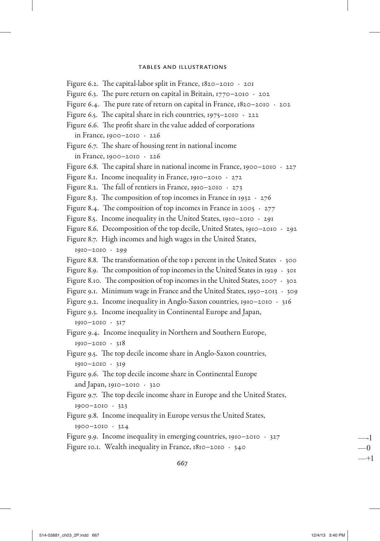Figure 6.2. The capital-labor split in France,  $1820-2010 + 201$ Figure 6.3. The pure return on capital in Britain,  $1770-2010 + 202$ Figure 6.4. The pure rate of return on capital in France,  $1820-2010 + 202$ Figure 6.5. The capital share in rich countries,  $1975-2010 + 222$ Figure 6.6. The profit share in the value added of corporations in France, 1900–2010  $\cdot$  226 Figure 6.7. The share of housing rent in national income in France, 1900–2010  $\cdot$  226 Figure 6.8. The capital share in national income in France, 1900–2010  $\cdot$  227 Figure 8.1. Income inequality in France, 1910–2010  $\cdot$  272 Figure 8.2. The fall of rentiers in France, 1910–2010  $\cdot$  273 Figure 8.3. The composition of top incomes in France in 1932  $\cdot$  276 Figure 8.4. The composition of top incomes in France in 2005  $\cdot$  277 Figure 8.5. Income inequality in the United States, 1910–2010  $\cdot$  291 Figure 8.6. Decomposition of the top decile, United States, 1910–2010 · 292 Figure 8.7. High incomes and high wages in the United States,  $1910 - 2010 \cdot 299$ Figure 8.8. The transformation of the top 1 percent in the United States  $\cdot$  300 Figure 8.9. The composition of top incomes in the United States in 1929  $\cdot$  301 Figure 8.10. The composition of top incomes in the United States, 2007  $\cdot$  302 Figure 9.1. Minimum wage in France and the United States, 1950–2013  $\cdot$  309 Figure 9.2. Income inequality in Anglo-Saxon countries, 1910–2010  $\cdot$  316 Figure 9.3. Income inequality in Continental Europe and Japan,  $1910 - 2010 \cdot 317$ Figure 9.4. Income inequality in Northern and Southern Europe,  $1910 - 2010 \cdot 318$ Figure 9.5. The top decile income share in Anglo-Saxon countries, 1910– 2010 . 319 Figure 9.6. The top decile income share in Continental Europe and Japan,  $1910-2010 \cdot 320$ Figure 9.7. The top decile income share in Europe and the United States,  $1900 - 2010 \cdot 323$ Figure 9.8. Income inequality in Europe versus the United States,  $1900 - 2010 \cdot 324$ Figure 9.9. Income inequality in emerging countries, 1910–2010  $\cdot$  327 Figure 10.1. Wealth inequality in France,  $1810 - 2010 + 340$ 

 $-1$  667

—-1 —0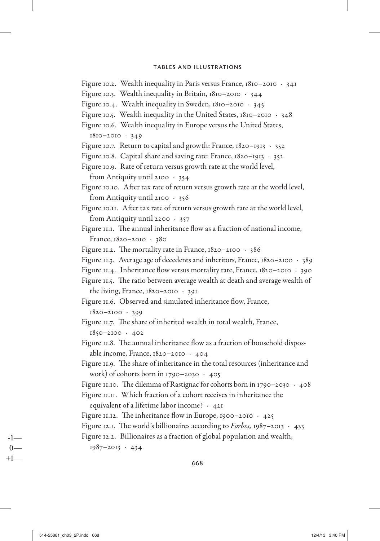- Figure 10.2. Wealth inequality in Paris versus France, 1810–2010  $\cdot$  341
- Figure 10.3. Wealth inequality in Britain,  $1810-2010 + 344$
- Figure 10.4. Wealth inequality in Sweden,  $1810 2010 + 345$
- Figure 10.5. Wealth inequality in the United States, 1810–2010  $\cdot$  348
- Figure 10.6. Wealth inequality in Europe versus the United States,  $1810 - 2010 \cdot 349$
- Figure 10.7. Return to capital and growth: France,  $1820 1913 + 352$
- Figure 10.8. Capital share and saving rate: France,  $1820 1913 + 352$
- Figure 10.9. Rate of return versus growth rate at the world level, from Antiquity until 2100  $\cdot$  354
- Figure 10.10. After tax rate of return versus growth rate at the world level, from Antiquity until 2100  $\cdot$  356
- Figure 10.11. After tax rate of return versus growth rate at the world level, from Antiquity until 2200  $\cdot$  357
- Figure 11.1. The annual inheritance flow as a fraction of national income, France,  $1820 - 2010 + 380$
- Figure 11.2. The mortality rate in France,  $1820 2100 \cdot 386$
- Figure 11.3. Average age of decedents and inheritors, France,  $1820 2100 \cdot 389$
- Figure 11.4. Inheritance flow versus mortality rate, France,  $1820 2010 + 390$
- Figure 11.5. The ratio between average wealth at death and average wealth of the living, France,  $1820 - 2010 + 391$
- Figure 11.6. Observed and simulated inheritance flow, France,  $1820 - 2100 \cdot 399$
- Figure 11.7. The share of inherited wealth in total wealth, France,  $1850 - 2100 \cdot 402$
- Figure 11.8. The annual inheritance flow as a fraction of house hold disposable income, France,  $1820 - 2010 + 404$
- Figure 11.9. The share of inheritance in the total resources (inheritance and work) of cohorts born in 1790–2030  $\cdot$  405
- Figure 11.10. The dilemma of Rastignac for cohorts born in 1790–2030  $\cdot$  408
- Figure 11.11. Which fraction of a cohort receives in inheritance the equivalent of a lifetime labor income?  $\cdot$  421
- Figure 11.12. The inheritance flow in Europe, 1900–2010  $\cdot$  425
- 

Figure 12.1. The world's billionaires according to *Forbes*,  $1987-2013 + 433$ 

Figure 12.2. Billionaires as a fraction of global population and wealth,

 $1987 - 2013 \cdot 434$ 

-1—  $0-$